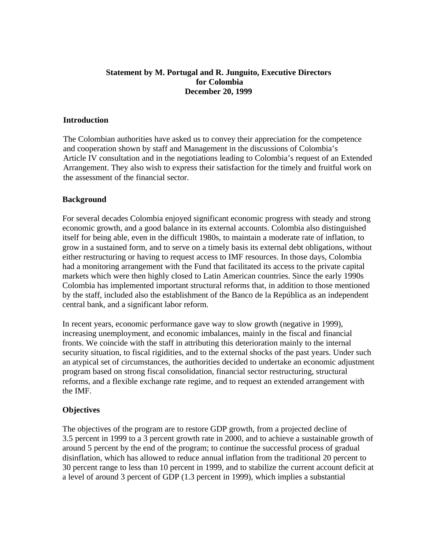# **Statement by M. Portugal and R. Junguito, Executive Directors for Colombia December 20, 1999**

#### **Introduction**

The Colombian authorities have asked us to convey their appreciation for the competence and cooperation shown by staff and Management in the discussions of Colombia's Article IV consultation and in the negotiations leading to Colombia's request of an Extended Arrangement. They also wish to express their satisfaction for the timely and fruitful work on the assessment of the financial sector.

#### **Background**

For several decades Colombia enjoyed significant economic progress with steady and strong economic growth, and a good balance in its external accounts. Colombia also distinguished itself for being able, even in the difficult 1980s, to maintain a moderate rate of inflation, to grow in a sustained form, and to serve on a timely basis its external debt obligations, without either restructuring or having to request access to IMF resources. In those days, Colombia had a monitoring arrangement with the Fund that facilitated its access to the private capital markets which were then highly closed to Latin American countries. Since the early 1990s Colombia has implemented important structural reforms that, in addition to those mentioned by the staff, included also the establishment of the Banco de la República as an independent central bank, and a significant labor reform.

In recent years, economic performance gave way to slow growth (negative in 1999), increasing unemployment, and economic imbalances, mainly in the fiscal and financial fronts. We coincide with the staff in attributing this deterioration mainly to the internal security situation, to fiscal rigidities, and to the external shocks of the past years. Under such an atypical set of circumstances, the authorities decided to undertake an economic adjustment program based on strong fiscal consolidation, financial sector restructuring, structural reforms, and a flexible exchange rate regime, and to request an extended arrangement with the IMF.

### **Objectives**

The objectives of the program are to restore GDP growth, from a projected decline of 3.5 percent in 1999 to a 3 percent growth rate in 2000, and to achieve a sustainable growth of around 5 percent by the end of the program; to continue the successful process of gradual disinflation, which has allowed to reduce annual inflation from the traditional 20 percent to 30 percent range to less than 10 percent in 1999, and to stabilize the current account deficit at a level of around 3 percent of GDP (1.3 percent in 1999), which implies a substantial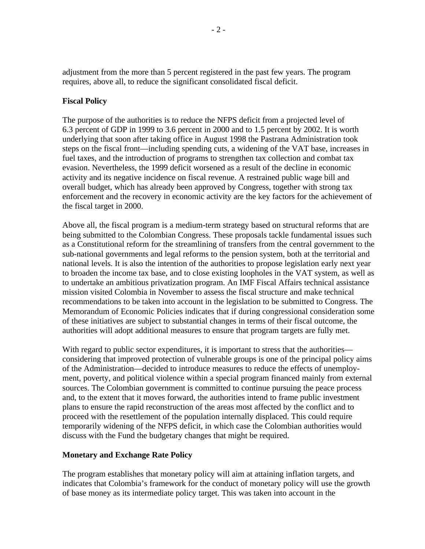adjustment from the more than 5 percent registered in the past few years. The program requires, above all, to reduce the significant consolidated fiscal deficit.

# **Fiscal Policy**

The purpose of the authorities is to reduce the NFPS deficit from a projected level of 6.3 percent of GDP in 1999 to 3.6 percent in 2000 and to 1.5 percent by 2002. It is worth underlying that soon after taking office in August 1998 the Pastrana Administration took steps on the fiscal front—including spending cuts, a widening of the VAT base, increases in fuel taxes, and the introduction of programs to strengthen tax collection and combat tax evasion. Nevertheless, the 1999 deficit worsened as a result of the decline in economic activity and its negative incidence on fiscal revenue. A restrained public wage bill and overall budget, which has already been approved by Congress, together with strong tax enforcement and the recovery in economic activity are the key factors for the achievement of the fiscal target in 2000.

Above all, the fiscal program is a medium-term strategy based on structural reforms that are being submitted to the Colombian Congress. These proposals tackle fundamental issues such as a Constitutional reform for the streamlining of transfers from the central government to the sub-national governments and legal reforms to the pension system, both at the territorial and national levels. It is also the intention of the authorities to propose legislation early next year to broaden the income tax base, and to close existing loopholes in the VAT system, as well as to undertake an ambitious privatization program. An IMF Fiscal Affairs technical assistance mission visited Colombia in November to assess the fiscal structure and make technical recommendations to be taken into account in the legislation to be submitted to Congress. The Memorandum of Economic Policies indicates that if during congressional consideration some of these initiatives are subject to substantial changes in terms of their fiscal outcome, the authorities will adopt additional measures to ensure that program targets are fully met.

With regard to public sector expenditures, it is important to stress that the authorities considering that improved protection of vulnerable groups is one of the principal policy aims of the Administration—decided to introduce measures to reduce the effects of unemployment, poverty, and political violence within a special program financed mainly from external sources. The Colombian government is committed to continue pursuing the peace process and, to the extent that it moves forward, the authorities intend to frame public investment plans to ensure the rapid reconstruction of the areas most affected by the conflict and to proceed with the resettlement of the population internally displaced. This could require temporarily widening of the NFPS deficit, in which case the Colombian authorities would discuss with the Fund the budgetary changes that might be required.

### **Monetary and Exchange Rate Policy**

The program establishes that monetary policy will aim at attaining inflation targets, and indicates that Colombia's framework for the conduct of monetary policy will use the growth of base money as its intermediate policy target. This was taken into account in the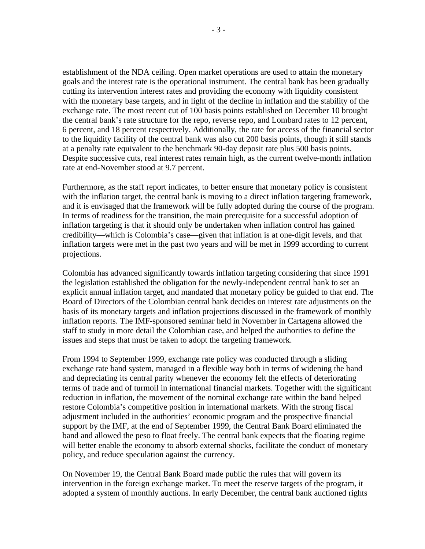establishment of the NDA ceiling. Open market operations are used to attain the monetary goals and the interest rate is the operational instrument. The central bank has been gradually cutting its intervention interest rates and providing the economy with liquidity consistent with the monetary base targets, and in light of the decline in inflation and the stability of the exchange rate. The most recent cut of 100 basis points established on December 10 brought the central bank's rate structure for the repo, reverse repo, and Lombard rates to 12 percent, 6 percent, and 18 percent respectively. Additionally, the rate for access of the financial sector to the liquidity facility of the central bank was also cut 200 basis points, though it still stands at a penalty rate equivalent to the benchmark 90-day deposit rate plus 500 basis points. Despite successive cuts, real interest rates remain high, as the current twelve-month inflation rate at end-November stood at 9.7 percent.

Furthermore, as the staff report indicates, to better ensure that monetary policy is consistent with the inflation target, the central bank is moving to a direct inflation targeting framework, and it is envisaged that the framework will be fully adopted during the course of the program. In terms of readiness for the transition, the main prerequisite for a successful adoption of inflation targeting is that it should only be undertaken when inflation control has gained credibility—which is Colombia's case—given that inflation is at one-digit levels, and that inflation targets were met in the past two years and will be met in 1999 according to current projections.

Colombia has advanced significantly towards inflation targeting considering that since 1991 the legislation established the obligation for the newly-independent central bank to set an explicit annual inflation target, and mandated that monetary policy be guided to that end. The Board of Directors of the Colombian central bank decides on interest rate adjustments on the basis of its monetary targets and inflation projections discussed in the framework of monthly inflation reports. The IMF-sponsored seminar held in November in Cartagena allowed the staff to study in more detail the Colombian case, and helped the authorities to define the issues and steps that must be taken to adopt the targeting framework.

From 1994 to September 1999, exchange rate policy was conducted through a sliding exchange rate band system, managed in a flexible way both in terms of widening the band and depreciating its central parity whenever the economy felt the effects of deteriorating terms of trade and of turmoil in international financial markets. Together with the significant reduction in inflation, the movement of the nominal exchange rate within the band helped restore Colombia's competitive position in international markets. With the strong fiscal adjustment included in the authorities' economic program and the prospective financial support by the IMF, at the end of September 1999, the Central Bank Board eliminated the band and allowed the peso to float freely. The central bank expects that the floating regime will better enable the economy to absorb external shocks, facilitate the conduct of monetary policy, and reduce speculation against the currency.

On November 19, the Central Bank Board made public the rules that will govern its intervention in the foreign exchange market. To meet the reserve targets of the program, it adopted a system of monthly auctions. In early December, the central bank auctioned rights